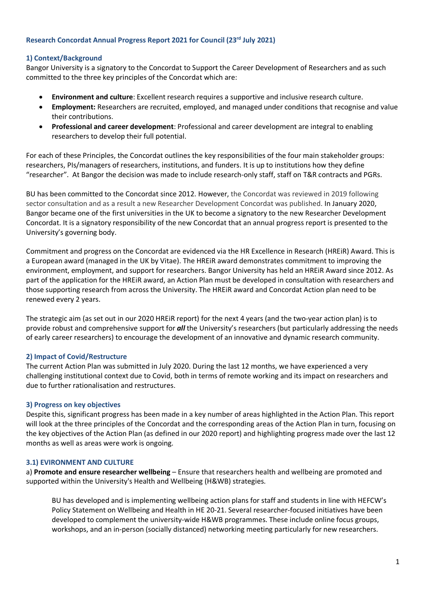## **Research Concordat Annual Progress Report 2021 for Council (23rd July 2021)**

# **1) Context/Background**

Bangor University is a signatory to the Concordat to Support the Career Development of Researchers and as such committed to the three key principles of the Concordat which are:

- **Environment and culture**: Excellent research requires a supportive and inclusive research culture.
- **Employment:** Researchers are recruited, employed, and managed under conditions that recognise and value their contributions.
- **Professional and career development**: Professional and career development are integral to enabling researchers to develop their full potential.

For each of these Principles, the Concordat outlines the key responsibilities of the four main stakeholder groups: researchers, PIs/managers of researchers, institutions, and funders. It is up to institutions how they define "researcher". At Bangor the decision was made to include research-only staff, staff on T&R contracts and PGRs.

BU has been committed to the Concordat since 2012. However, the Concordat was reviewed in 2019 following sector consultation and as a result a new Researcher Development Concordat was published. In January 2020, Bangor became one of the first universities in the UK to become a signatory to the new Researcher Development Concordat. It is a signatory responsibility of the new Concordat that an annual progress report is presented to the University's governing body.

Commitment and progress on the Concordat are evidenced via the HR Excellence in Research (HREiR) Award. This is a European award (managed in the UK by Vitae). The HREiR award demonstrates commitment to improving the environment, employment, and support for researchers. Bangor University has held an HREiR Award since 2012. As part of the application for the HREiR award, an Action Plan must be developed in consultation with researchers and those supporting research from across the University. The HREiR award and Concordat Action plan need to be renewed every 2 years.

The strategic aim (as set out in our 2020 HREiR report) for the next 4 years (and the two-year action plan) is to provide robust and comprehensive support for *all* the University's researchers (but particularly addressing the needs of early career researchers) to encourage the development of an innovative and dynamic research community.

# **2) Impact of Covid/Restructure**

The current Action Plan was submitted in July 2020. During the last 12 months, we have experienced a very challenging institutional context due to Covid, both in terms of remote working and its impact on researchers and due to further rationalisation and restructures.

# **3) Progress on key objectives**

Despite this, significant progress has been made in a key number of areas highlighted in the Action Plan. This report will look at the three principles of the Concordat and the corresponding areas of the Action Plan in turn, focusing on the key objectives of the Action Plan (as defined in our 2020 report) and highlighting progress made over the last 12 months as well as areas were work is ongoing.

# **3.1) EVIRONMENT AND CULTURE**

a) **Promote and ensure researcher wellbeing** – Ensure that researchers health and wellbeing are promoted and supported within the University's Health and Wellbeing (H&WB) strategies.

BU has developed and is implementing wellbeing action plans for staff and students in line with HEFCW's Policy Statement on Wellbeing and Health in HE 20-21. Several researcher-focused initiatives have been developed to complement the university-wide H&WB programmes. These include online focus groups, workshops, and an in-person (socially distanced) networking meeting particularly for new researchers.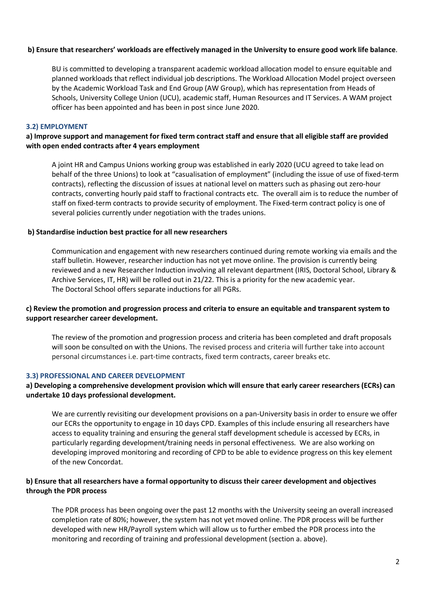### **b) Ensure that researchers' workloads are effectively managed in the University to ensure good work life balance**.

BU is committed to developing a transparent academic workload allocation model to ensure equitable and planned workloads that reflect individual job descriptions. The Workload Allocation Model project overseen by the Academic Workload Task and End Group (AW Group), which has representation from Heads of Schools, University College Union (UCU), academic staff, Human Resources and IT Services. A WAM project officer has been appointed and has been in post since June 2020.

### **3.2) EMPLOYMENT**

# **a) Improve support and management for fixed term contract staff and ensure that all eligible staff are provided with open ended contracts after 4 years employment**

A joint HR and Campus Unions working group was established in early 2020 (UCU agreed to take lead on behalf of the three Unions) to look at "casualisation of employment" (including the issue of use of fixed-term contracts), reflecting the discussion of issues at national level on matters such as phasing out zero-hour contracts, converting hourly paid staff to fractional contracts etc. The overall aim is to reduce the number of staff on fixed-term contracts to provide security of employment. The Fixed-term contract policy is one of several policies currently under negotiation with the trades unions.

#### **b) Standardise induction best practice for all new researchers**

Communication and engagement with new researchers continued during remote working via emails and the staff bulletin. However, researcher induction has not yet move online. The provision is currently being reviewed and a new Researcher Induction involving all relevant department (IRIS, Doctoral School, Library & Archive Services, IT, HR) will be rolled out in 21/22. This is a priority for the new academic year. The Doctoral School offers separate inductions for all PGRs.

## **c) Review the promotion and progression process and criteria to ensure an equitable and transparent system to support researcher career development.**

The review of the promotion and progression process and criteria has been completed and draft proposals will soon be consulted on with the Unions. The revised process and criteria will further take into account personal circumstances i.e. part-time contracts, fixed term contracts, career breaks etc.

### **3.3) PROFESSIONAL AND CAREER DEVELOPMENT**

### **a) Developing a comprehensive development provision which will ensure that early career researchers (ECRs) can undertake 10 days professional development.**

We are currently revisiting our development provisions on a pan-University basis in order to ensure we offer our ECRs the opportunity to engage in 10 days CPD. Examples of this include ensuring all researchers have access to equality training and ensuring the general staff development schedule is accessed by ECRs, in particularly regarding development/training needs in personal effectiveness. We are also working on developing improved monitoring and recording of CPD to be able to evidence progress on this key element of the new Concordat.

## **b) Ensure that all researchers have a formal opportunity to discuss their career development and objectives through the PDR process**

The PDR process has been ongoing over the past 12 months with the University seeing an overall increased completion rate of 80%; however, the system has not yet moved online. The PDR process will be further developed with new HR/Payroll system which will allow us to further embed the PDR process into the monitoring and recording of training and professional development (section a. above).